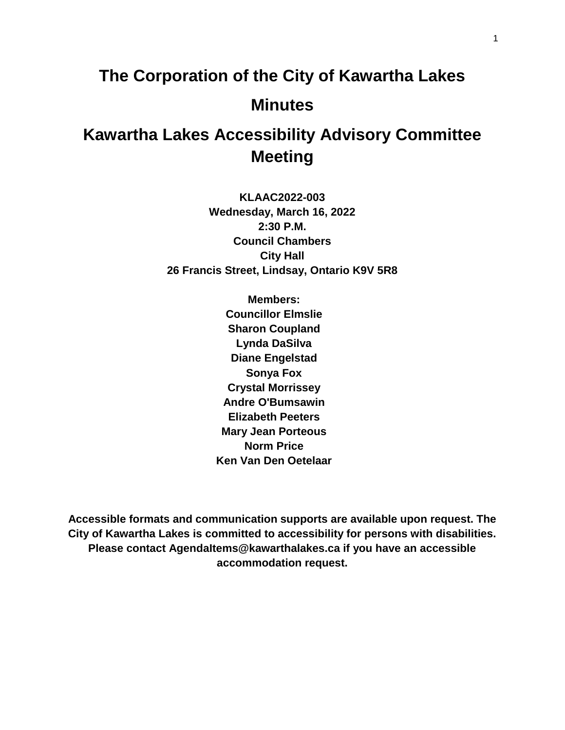# **The Corporation of the City of Kawartha Lakes Minutes**

# **Kawartha Lakes Accessibility Advisory Committee Meeting**

**KLAAC2022-003 Wednesday, March 16, 2022 2:30 P.M. Council Chambers City Hall 26 Francis Street, Lindsay, Ontario K9V 5R8**

> **Members: Councillor Elmslie Sharon Coupland Lynda DaSilva Diane Engelstad Sonya Fox Crystal Morrissey Andre O'Bumsawin Elizabeth Peeters Mary Jean Porteous Norm Price Ken Van Den Oetelaar**

**Accessible formats and communication supports are available upon request. The City of Kawartha Lakes is committed to accessibility for persons with disabilities. Please contact AgendaItems@kawarthalakes.ca if you have an accessible accommodation request.**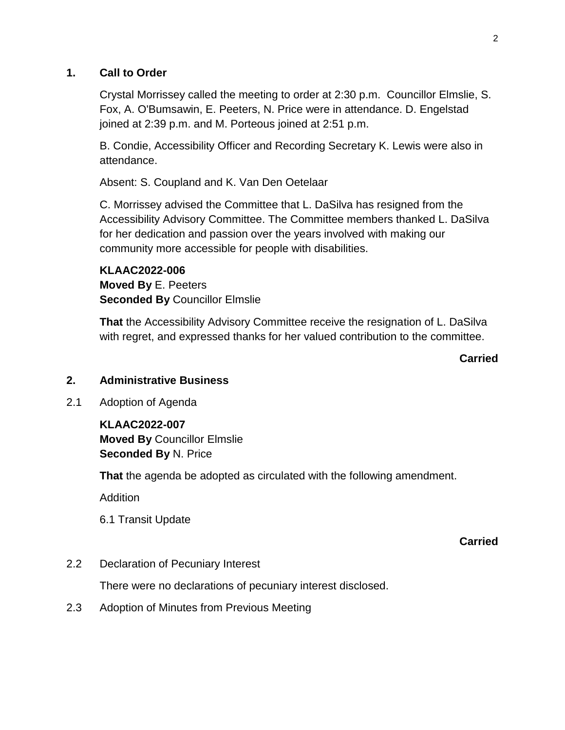#### **1. Call to Order**

Crystal Morrissey called the meeting to order at 2:30 p.m. Councillor Elmslie, S. Fox, A. O'Bumsawin, E. Peeters, N. Price were in attendance. D. Engelstad joined at 2:39 p.m. and M. Porteous joined at 2:51 p.m.

B. Condie, Accessibility Officer and Recording Secretary K. Lewis were also in attendance.

Absent: S. Coupland and K. Van Den Oetelaar

C. Morrissey advised the Committee that L. DaSilva has resigned from the Accessibility Advisory Committee. The Committee members thanked L. DaSilva for her dedication and passion over the years involved with making our community more accessible for people with disabilities.

**KLAAC2022-006 Moved By** E. Peeters **Seconded By** Councillor Elmslie

**That** the Accessibility Advisory Committee receive the resignation of L. DaSilva with regret, and expressed thanks for her valued contribution to the committee.

#### **Carried**

## **2. Administrative Business**

2.1 Adoption of Agenda

**KLAAC2022-007 Moved By** Councillor Elmslie **Seconded By** N. Price

**That** the agenda be adopted as circulated with the following amendment.

Addition

6.1 Transit Update

#### **Carried**

2.2 Declaration of Pecuniary Interest

There were no declarations of pecuniary interest disclosed.

2.3 Adoption of Minutes from Previous Meeting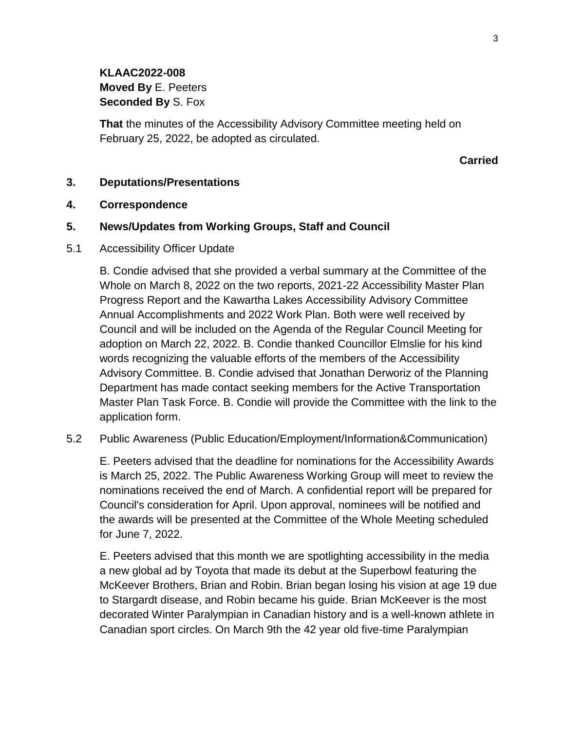**KLAAC2022-008 Moved By** E. Peeters **Seconded By** S. Fox

**That** the minutes of the Accessibility Advisory Committee meeting held on February 25, 2022, be adopted as circulated.

#### **Carried**

#### **3. Deputations/Presentations**

#### **4. Correspondence**

#### **5. News/Updates from Working Groups, Staff and Council**

5.1 Accessibility Officer Update

B. Condie advised that she provided a verbal summary at the Committee of the Whole on March 8, 2022 on the two reports, 2021-22 Accessibility Master Plan Progress Report and the Kawartha Lakes Accessibility Advisory Committee Annual Accomplishments and 2022 Work Plan. Both were well received by Council and will be included on the Agenda of the Regular Council Meeting for adoption on March 22, 2022. B. Condie thanked Councillor Elmslie for his kind words recognizing the valuable efforts of the members of the Accessibility Advisory Committee. B. Condie advised that Jonathan Derworiz of the Planning Department has made contact seeking members for the Active Transportation Master Plan Task Force. B. Condie will provide the Committee with the link to the application form.

5.2 Public Awareness (Public Education/Employment/Information&Communication)

E. Peeters advised that the deadline for nominations for the Accessibility Awards is March 25, 2022. The Public Awareness Working Group will meet to review the nominations received the end of March. A confidential report will be prepared for Council's consideration for April. Upon approval, nominees will be notified and the awards will be presented at the Committee of the Whole Meeting scheduled for June 7, 2022.

E. Peeters advised that this month we are spotlighting accessibility in the media a new global ad by Toyota that made its debut at the Superbowl featuring the McKeever Brothers, Brian and Robin. Brian began losing his vision at age 19 due to Stargardt disease, and Robin became his guide. Brian McKeever is the most decorated Winter Paralympian in Canadian history and is a well-known athlete in Canadian sport circles. On March 9th the 42 year old five-time Paralympian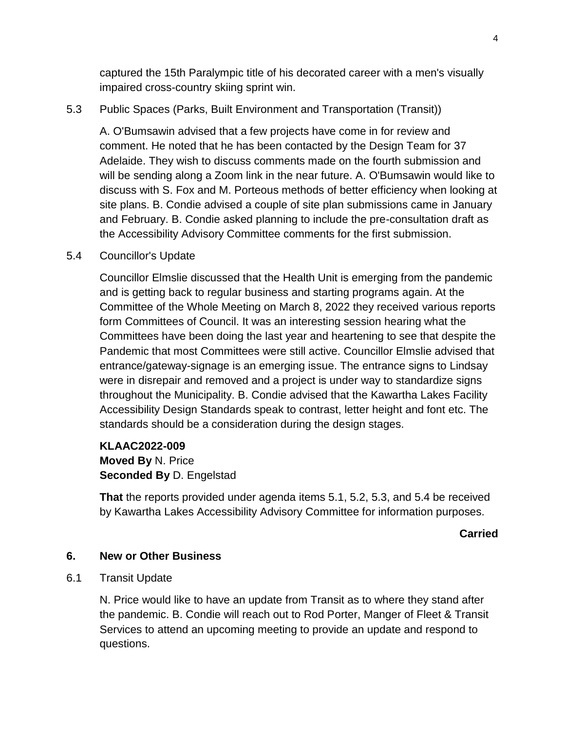captured the 15th Paralympic title of his decorated career with a men's visually impaired cross-country skiing sprint win.

# 5.3 Public Spaces (Parks, Built Environment and Transportation (Transit))

A. O'Bumsawin advised that a few projects have come in for review and comment. He noted that he has been contacted by the Design Team for 37 Adelaide. They wish to discuss comments made on the fourth submission and will be sending along a Zoom link in the near future. A. O'Bumsawin would like to discuss with S. Fox and M. Porteous methods of better efficiency when looking at site plans. B. Condie advised a couple of site plan submissions came in January and February. B. Condie asked planning to include the pre-consultation draft as the Accessibility Advisory Committee comments for the first submission.

## 5.4 Councillor's Update

Councillor Elmslie discussed that the Health Unit is emerging from the pandemic and is getting back to regular business and starting programs again. At the Committee of the Whole Meeting on March 8, 2022 they received various reports form Committees of Council. It was an interesting session hearing what the Committees have been doing the last year and heartening to see that despite the Pandemic that most Committees were still active. Councillor Elmslie advised that entrance/gateway-signage is an emerging issue. The entrance signs to Lindsay were in disrepair and removed and a project is under way to standardize signs throughout the Municipality. B. Condie advised that the Kawartha Lakes Facility Accessibility Design Standards speak to contrast, letter height and font etc. The standards should be a consideration during the design stages.

#### **KLAAC2022-009**

**Moved By** N. Price **Seconded By** D. Engelstad

**That** the reports provided under agenda items 5.1, 5.2, 5.3, and 5.4 be received by Kawartha Lakes Accessibility Advisory Committee for information purposes.

#### **Carried**

#### **6. New or Other Business**

6.1 Transit Update

N. Price would like to have an update from Transit as to where they stand after the pandemic. B. Condie will reach out to Rod Porter, Manger of Fleet & Transit Services to attend an upcoming meeting to provide an update and respond to questions.